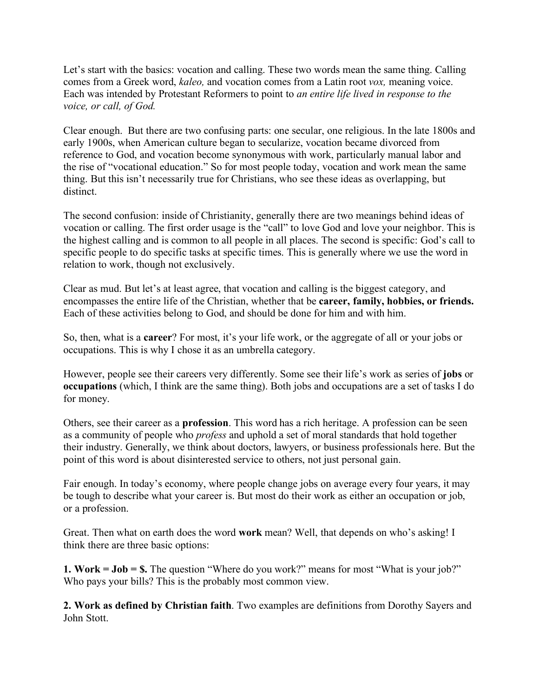Let's start with the basics: vocation and calling. These two words mean the same thing. Calling comes from a Greek word, *kaleo,* and vocation comes from a Latin root *vox,* meaning voice. Each was intended by Protestant Reformers to point to *an entire life lived in response to the voice, or call, of God.*

Clear enough. But there are two confusing parts: one secular, one religious. In the late 1800s and early 1900s, when American culture began to secularize, vocation became divorced from reference to God, and vocation become synonymous with work, particularly manual labor and the rise of "vocational education." So for most people today, vocation and work mean the same thing. But this isn't necessarily true for Christians, who see these ideas as overlapping, but distinct.

The second confusion: inside of Christianity, generally there are two meanings behind ideas of vocation or calling. The first order usage is the "call" to love God and love your neighbor. This is the highest calling and is common to all people in all places. The second is specific: God's call to specific people to do specific tasks at specific times. This is generally where we use the word in relation to work, though not exclusively.

Clear as mud. But let's at least agree, that vocation and calling is the biggest category, and encompasses the entire life of the Christian, whether that be **career, family, hobbies, or friends.**  Each of these activities belong to God, and should be done for him and with him.

So, then, what is a **career**? For most, it's your life work, or the aggregate of all or your jobs or occupations. This is why I chose it as an umbrella category.

However, people see their careers very differently. Some see their life's work as series of **jobs** or **occupations** (which, I think are the same thing). Both jobs and occupations are a set of tasks I do for money.

Others, see their career as a **profession**. This word has a rich heritage. A profession can be seen as a community of people who *profess* and uphold a set of moral standards that hold together their industry. Generally, we think about doctors, lawyers, or business professionals here. But the point of this word is about disinterested service to others, not just personal gain.

Fair enough. In today's economy, where people change jobs on average every four years, it may be tough to describe what your career is. But most do their work as either an occupation or job, or a profession.

Great. Then what on earth does the word **work** mean? Well, that depends on who's asking! I think there are three basic options:

**1. Work = Job = \$.** The question "Where do you work?" means for most "What is your job?" Who pays your bills? This is the probably most common view.

**2. Work as defined by Christian faith**. Two examples are definitions from Dorothy Sayers and John Stott.